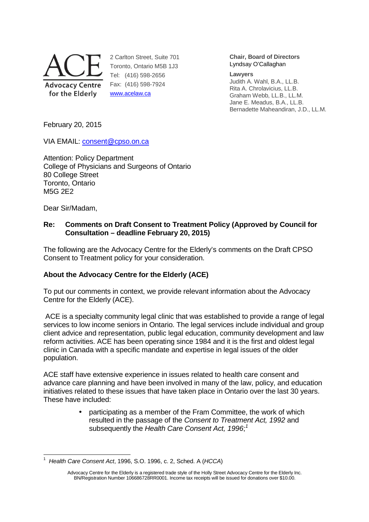

2 Carlton Street, Suite 701 Toronto, Ontario M5B 1J3 Tel: (416) 598-2656 Fax: (416) 598-7924 www.acelaw.ca

**Chair, Board of Directors** Lyndsay O'Callaghan

#### **Lawyers**

Judith A. Wahl, B.A., LL.B. Rita A. Chrolavicius, LL.B. Graham Webb, LL.B., LL.M. Jane E. Meadus, B.A., LL.B. Bernadette Maheandiran, J.D., LL.M.

February 20, 2015

VIA EMAIL: consent@cpso.on.ca

Attention: Policy Department College of Physicians and Surgeons of Ontario 80 College Street Toronto, Ontario M5G 2E2

Dear Sir/Madam,

### **Re: Comments on Draft Consent to Treatment Policy (Approved by Council for Consultation – deadline February 20, 2015)**

The following are the Advocacy Centre for the Elderly's comments on the Draft CPSO Consent to Treatment policy for your consideration.

# **About the Advocacy Centre for the Elderly (ACE)**

To put our comments in context, we provide relevant information about the Advocacy Centre for the Elderly (ACE).

 ACE is a specialty community legal clinic that was established to provide a range of legal services to low income seniors in Ontario. The legal services include individual and group client advice and representation, public legal education, community development and law reform activities. ACE has been operating since 1984 and it is the first and oldest legal clinic in Canada with a specific mandate and expertise in legal issues of the older population.

ACE staff have extensive experience in issues related to health care consent and advance care planning and have been involved in many of the law, policy, and education initiatives related to these issues that have taken place in Ontario over the last 30 years. These have included:

> • participating as a member of the Fram Committee, the work of which resulted in the passage of the Consent to Treatment Act, 1992 and subsequently the Health Care Consent Act, 1996;<sup>1</sup>

<sup>-</sup>1 Health Care Consent Act, 1996, S.O. 1996, c. 2, Sched. A (HCCA)

Advocacy Centre for the Elderly is a registered trade style of the Holly Street Advocacy Centre for the Elderly Inc. BN/Registration Number 106686728RR0001. Income tax receipts will be issued for donations over \$10.00.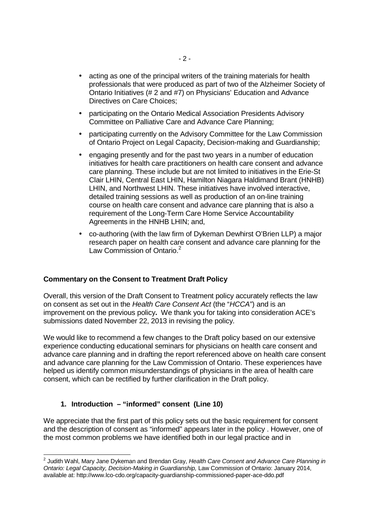- acting as one of the principal writers of the training materials for health professionals that were produced as part of two of the Alzheimer Society of Ontario Initiatives (# 2 and #7) on Physicians' Education and Advance Directives on Care Choices;
- participating on the Ontario Medical Association Presidents Advisory Committee on Palliative Care and Advance Care Planning;
- participating currently on the Advisory Committee for the Law Commission of Ontario Project on Legal Capacity, Decision-making and Guardianship;
- engaging presently and for the past two years in a number of education initiatives for health care practitioners on health care consent and advance care planning. These include but are not limited to initiatives in the Erie-St Clair LHIN, Central East LHIN, Hamilton Niagara Haldimand Brant (HNHB) LHIN, and Northwest LHIN. These initiatives have involved interactive, detailed training sessions as well as production of an on-line training course on health care consent and advance care planning that is also a requirement of the Long-Term Care Home Service Accountability Agreements in the HNHB LHIN; and,
- co-authoring (with the law firm of Dykeman Dewhirst O'Brien LLP) a major research paper on health care consent and advance care planning for the Law Commission of Ontario.<sup>2</sup>

#### **Commentary on the Consent to Treatment Draft Policy**

Overall, this version of the Draft Consent to Treatment policy accurately reflects the law on consent as set out in the Health Care Consent Act (the "HCCA") and is an improvement on the previous policy**.** We thank you for taking into consideration ACE's submissions dated November 22, 2013 in revising the policy.

We would like to recommend a few changes to the Draft policy based on our extensive experience conducting educational seminars for physicians on health care consent and advance care planning and in drafting the report referenced above on health care consent and advance care planning for the Law Commission of Ontario. These experiences have helped us identify common misunderstandings of physicians in the area of health care consent, which can be rectified by further clarification in the Draft policy.

### **1. Introduction – "informed" consent (Line 10)**

We appreciate that the first part of this policy sets out the basic requirement for consent and the description of consent as "informed" appears later in the policy . However, one of the most common problems we have identified both in our legal practice and in

 2 Judith Wahl, Mary Jane Dykeman and Brendan Gray, Health Care Consent and Advance Care Planning in Ontario: Legal Capacity, Decision-Making in Guardianship, Law Commission of Ontario: January 2014, available at: http://www.lco-cdo.org/capacity-guardianship-commissioned-paper-ace-ddo.pdf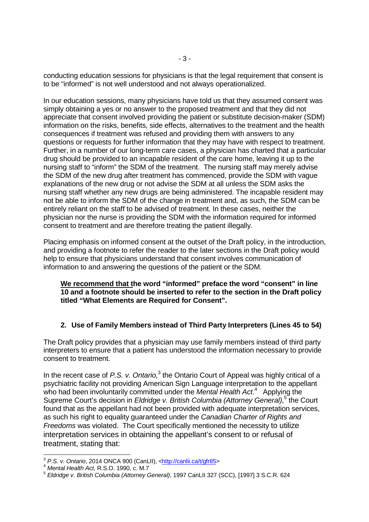conducting education sessions for physicians is that the legal requirement that consent is to be "informed" is not well understood and not always operationalized.

In our education sessions, many physicians have told us that they assumed consent was simply obtaining a yes or no answer to the proposed treatment and that they did not appreciate that consent involved providing the patient or substitute decision-maker (SDM) information on the risks, benefits, side effects, alternatives to the treatment and the health consequences if treatment was refused and providing them with answers to any questions or requests for further information that they may have with respect to treatment. Further, in a number of our long-term care cases, a physician has charted that a particular drug should be provided to an incapable resident of the care home, leaving it up to the nursing staff to "inform" the SDM of the treatment. The nursing staff may merely advise the SDM of the new drug after treatment has commenced, provide the SDM with vague explanations of the new drug or not advise the SDM at all unless the SDM asks the nursing staff whether any new drugs are being administered. The incapable resident may not be able to inform the SDM of the change in treatment and, as such, the SDM can be entirely reliant on the staff to be advised of treatment. In these cases, neither the physician nor the nurse is providing the SDM with the information required for informed consent to treatment and are therefore treating the patient illegally.

Placing emphasis on informed consent at the outset of the Draft policy, in the introduction, and providing a footnote to refer the reader to the later sections in the Draft policy would help to ensure that physicians understand that consent involves communication of information to and answering the questions of the patient or the SDM.

### **We recommend that the word "informed" preface the word "consent" in line 10 and a footnote should be inserted to refer to the section in the Draft policy titled "What Elements are Required for Consent".**

# **2. Use of Family Members instead of Third Party Interpreters (Lines 45 to 54)**

The Draft policy provides that a physician may use family members instead of third party interpreters to ensure that a patient has understood the information necessary to provide consent to treatment.

In the recent case of P.S. v. Ontario, $3$  the Ontario Court of Appeal was highly critical of a psychiatric facility not providing American Sign Language interpretation to the appellant who had been involuntarily committed under the Mental Health Act.<sup>4</sup> Applying the Supreme Court's decision in Eldridge v. British Columbia (Attorney General),<sup>5</sup> the Court found that as the appellant had not been provided with adequate interpretation services, as such his right to equality guaranteed under the Canadian Charter of Rights and Freedoms was violated. The Court specifically mentioned the necessity to utilize interpretation services in obtaining the appellant's consent to or refusal of treatment, stating that:

<sup>-</sup><sup>3</sup> P.S. v. Ontario, 2014 ONCA 900 (CanLII), <http://canlii.ca/t/gfr85>

<sup>4</sup> Mental Health Act, R.S.O. 1990, c. M.7

<sup>5</sup> Eldridge v. British Columbia (Attorney General), 1997 CanLII 327 (SCC), [1997] 3 S.C.R. 624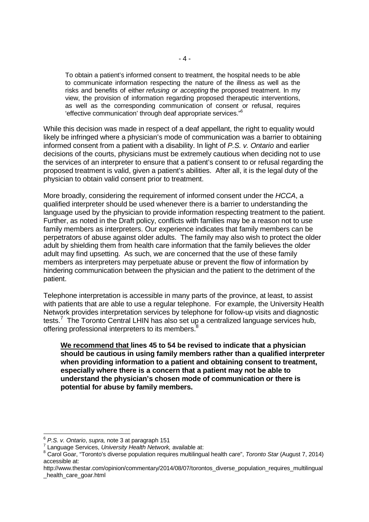To obtain a patient's informed consent to treatment, the hospital needs to be able to communicate information respecting the nature of the illness as well as the risks and benefits of either refusing or accepting the proposed treatment. In my view, the provision of information regarding proposed therapeutic interventions, as well as the corresponding communication of consent or refusal, requires 'effective communication' through deaf appropriate services."<sup>6</sup>

While this decision was made in respect of a deaf appellant, the right to equality would likely be infringed where a physician's mode of communication was a barrier to obtaining informed consent from a patient with a disability. In light of P.S. v. Ontario and earlier decisions of the courts, physicians must be extremely cautious when deciding not to use the services of an interpreter to ensure that a patient's consent to or refusal regarding the proposed treatment is valid, given a patient's abilities. After all, it is the legal duty of the physician to obtain valid consent prior to treatment.

More broadly, considering the requirement of informed consent under the HCCA, a qualified interpreter should be used whenever there is a barrier to understanding the language used by the physician to provide information respecting treatment to the patient. Further, as noted in the Draft policy, conflicts with families may be a reason not to use family members as interpreters. Our experience indicates that family members can be perpetrators of abuse against older adults. The family may also wish to protect the older adult by shielding them from health care information that the family believes the older adult may find upsetting. As such, we are concerned that the use of these family members as interpreters may perpetuate abuse or prevent the flow of information by hindering communication between the physician and the patient to the detriment of the patient.

Telephone interpretation is accessible in many parts of the province, at least, to assist with patients that are able to use a regular telephone. For example, the University Health Network provides interpretation services by telephone for follow-up visits and diagnostic tests.<sup>7</sup> The Toronto Central LHIN has also set up a centralized language services hub, offering professional interpreters to its members.<sup>8</sup>

**We recommend that lines 45 to 54 be revised to indicate that a physician should be cautious in using family members rather than a qualified interpreter when providing information to a patient and obtaining consent to treatment, especially where there is a concern that a patient may not be able to understand the physician's chosen mode of communication or there is potential for abuse by family members.** 

 6 P.S. v. Ontario, supra, note 3 at paragraph 151

<sup>&</sup>lt;sup>7</sup> Language Services, University Health Network, available at:

<sup>&</sup>lt;sup>8</sup> Carol Goar, "Toronto's diverse population requires multilingual health care", Toronto Star (August 7, 2014) accessible at:

http://www.thestar.com/opinion/commentary/2014/08/07/torontos\_diverse\_population\_requires\_multilingual health care goar.html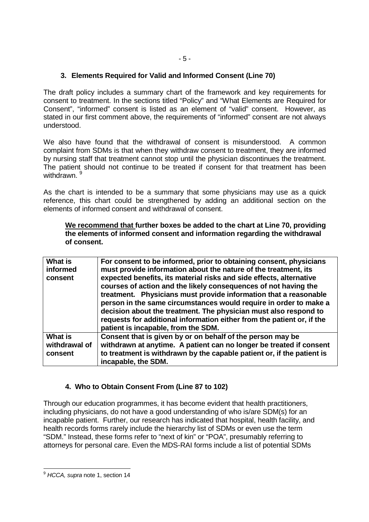### **3. Elements Required for Valid and Informed Consent (Line 70)**

The draft policy includes a summary chart of the framework and key requirements for consent to treatment. In the sections titled "Policy" and "What Elements are Required for Consent", "informed" consent is listed as an element of "valid" consent. However, as stated in our first comment above, the requirements of "informed" consent are not always understood.

We also have found that the withdrawal of consent is misunderstood. A common complaint from SDMs is that when they withdraw consent to treatment, they are informed by nursing staff that treatment cannot stop until the physician discontinues the treatment. The patient should not continue to be treated if consent for that treatment has been withdrawn. 9

As the chart is intended to be a summary that some physicians may use as a quick reference, this chart could be strengthened by adding an additional section on the elements of informed consent and withdrawal of consent.

**We recommend that further boxes be added to the chart at Line 70, providing the elements of informed consent and information regarding the withdrawal of consent.** 

| <b>What is</b><br>informed<br>consent      | For consent to be informed, prior to obtaining consent, physicians<br>must provide information about the nature of the treatment, its<br>expected benefits, its material risks and side effects, alternative<br>courses of action and the likely consequences of not having the<br>treatment. Physicians must provide information that a reasonable<br>person in the same circumstances would require in order to make a<br>decision about the treatment. The physician must also respond to<br>requests for additional information either from the patient or, if the<br>patient is incapable, from the SDM. |
|--------------------------------------------|---------------------------------------------------------------------------------------------------------------------------------------------------------------------------------------------------------------------------------------------------------------------------------------------------------------------------------------------------------------------------------------------------------------------------------------------------------------------------------------------------------------------------------------------------------------------------------------------------------------|
| <b>What is</b><br>withdrawal of<br>consent | Consent that is given by or on behalf of the person may be<br>withdrawn at anytime. A patient can no longer be treated if consent<br>to treatment is withdrawn by the capable patient or, if the patient is<br>incapable, the SDM.                                                                                                                                                                                                                                                                                                                                                                            |

# **4. Who to Obtain Consent From (Line 87 to 102)**

Through our education programmes, it has become evident that health practitioners, including physicians, do not have a good understanding of who is/are SDM(s) for an incapable patient. Further, our research has indicated that hospital, health facility, and health records forms rarely include the hierarchy list of SDMs or even use the term "SDM." Instead, these forms refer to "next of kin" or "POA", presumably referring to attorneys for personal care. Even the MDS-RAI forms include a list of potential SDMs

<sup>-</sup><sup>9</sup> HCCA, supra note 1, section 14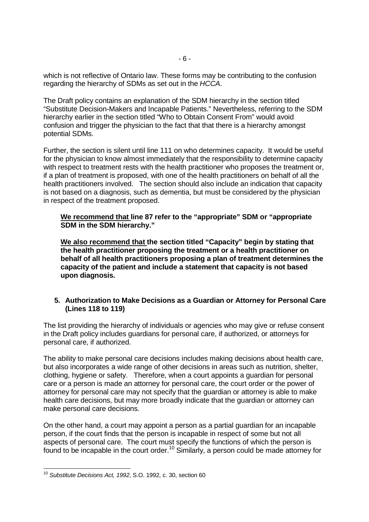which is not reflective of Ontario law. These forms may be contributing to the confusion regarding the hierarchy of SDMs as set out in the HCCA.

The Draft policy contains an explanation of the SDM hierarchy in the section titled "Substitute Decision-Makers and Incapable Patients." Nevertheless, referring to the SDM hierarchy earlier in the section titled "Who to Obtain Consent From" would avoid confusion and trigger the physician to the fact that that there is a hierarchy amongst potential SDMs.

Further, the section is silent until line 111 on who determines capacity. It would be useful for the physician to know almost immediately that the responsibility to determine capacity with respect to treatment rests with the health practitioner who proposes the treatment or, if a plan of treatment is proposed, with one of the health practitioners on behalf of all the health practitioners involved. The section should also include an indication that capacity is not based on a diagnosis, such as dementia, but must be considered by the physician in respect of the treatment proposed.

**We recommend that line 87 refer to the "appropriate" SDM or "appropriate SDM in the SDM hierarchy."** 

**We also recommend that the section titled "Capacity" begin by stating that the health practitioner proposing the treatment or a health practitioner on behalf of all health practitioners proposing a plan of treatment determines the capacity of the patient and include a statement that capacity is not based upon diagnosis.** 

#### **5. Authorization to Make Decisions as a Guardian or Attorney for Personal Care (Lines 118 to 119)**

The list providing the hierarchy of individuals or agencies who may give or refuse consent in the Draft policy includes guardians for personal care, if authorized, or attorneys for personal care, if authorized.

The ability to make personal care decisions includes making decisions about health care, but also incorporates a wide range of other decisions in areas such as nutrition, shelter, clothing, hygiene or safety. Therefore, when a court appoints a guardian for personal care or a person is made an attorney for personal care, the court order or the power of attorney for personal care may not specify that the guardian or attorney is able to make health care decisions, but may more broadly indicate that the guardian or attorney can make personal care decisions.

On the other hand, a court may appoint a person as a partial guardian for an incapable person, if the court finds that the person is incapable in respect of some but not all aspects of personal care. The court must specify the functions of which the person is found to be incapable in the court order.<sup>10</sup> Similarly, a person could be made attorney for

<sup>-</sup> $10$  Substitute Decisions Act, 1992, S.O. 1992, c. 30, section 60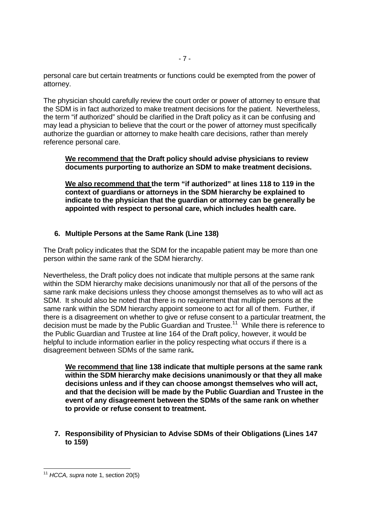personal care but certain treatments or functions could be exempted from the power of attorney.

The physician should carefully review the court order or power of attorney to ensure that the SDM is in fact authorized to make treatment decisions for the patient. Nevertheless, the term "if authorized" should be clarified in the Draft policy as it can be confusing and may lead a physician to believe that the court or the power of attorney must specifically authorize the guardian or attorney to make health care decisions, rather than merely reference personal care.

### **We recommend that the Draft policy should advise physicians to review documents purporting to authorize an SDM to make treatment decisions.**

**We also recommend that the term "if authorized" at lines 118 to 119 in the context of guardians or attorneys in the SDM hierarchy be explained to indicate to the physician that the guardian or attorney can be generally be appointed with respect to personal care, which includes health care.** 

# **6. Multiple Persons at the Same Rank (Line 138)**

The Draft policy indicates that the SDM for the incapable patient may be more than one person within the same rank of the SDM hierarchy.

Nevertheless, the Draft policy does not indicate that multiple persons at the same rank within the SDM hierarchy make decisions unanimously nor that all of the persons of the same rank make decisions unless they choose amongst themselves as to who will act as SDM. It should also be noted that there is no requirement that multiple persons at the same rank within the SDM hierarchy appoint someone to act for all of them. Further, if there is a disagreement on whether to give or refuse consent to a particular treatment, the decision must be made by the Public Guardian and Trustee.<sup>11</sup> While there is reference to the Public Guardian and Trustee at line 164 of the Draft policy, however, it would be helpful to include information earlier in the policy respecting what occurs if there is a disagreement between SDMs of the same rank**.** 

**We recommend that line 138 indicate that multiple persons at the same rank within the SDM hierarchy make decisions unanimously or that they all make decisions unless and if they can choose amongst themselves who will act, and that the decision will be made by the Public Guardian and Trustee in the event of any disagreement between the SDMs of the same rank on whether to provide or refuse consent to treatment.** 

**7. Responsibility of Physician to Advise SDMs of their Obligations (Lines 147 to 159)** 

<sup>-</sup> $11$  HCCA, supra note 1, section 20(5)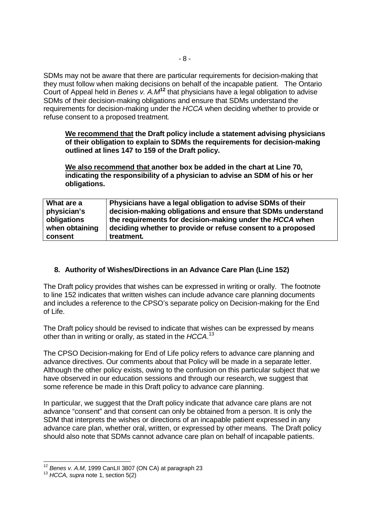SDMs may not be aware that there are particular requirements for decision-making that they must follow when making decisions on behalf of the incapable patient. The Ontario Court of Appeal held in Benes v. A.M**<sup>12</sup>** that physicians have a legal obligation to advise SDMs of their decision-making obligations and ensure that SDMs understand the requirements for decision-making under the HCCA when deciding whether to provide or refuse consent to a proposed treatment.

**We recommend that the Draft policy include a statement advising physicians of their obligation to explain to SDMs the requirements for decision-making outlined at lines 147 to 159 of the Draft policy.** 

**We also recommend that another box be added in the chart at Line 70, indicating the responsibility of a physician to advise an SDM of his or her obligations.** 

| What are a     | Physicians have a legal obligation to advise SDMs of their  |
|----------------|-------------------------------------------------------------|
| physician's    | decision-making obligations and ensure that SDMs understand |
| obligations    | the requirements for decision-making under the HCCA when    |
| when obtaining | deciding whether to provide or refuse consent to a proposed |
| consent        | treatment.                                                  |

### **8. Authority of Wishes/Directions in an Advance Care Plan (Line 152)**

The Draft policy provides that wishes can be expressed in writing or orally. The footnote to line 152 indicates that written wishes can include advance care planning documents and includes a reference to the CPSO's separate policy on Decision-making for the End of Life.

The Draft policy should be revised to indicate that wishes can be expressed by means other than in writing or orally, as stated in the HCCA.<sup>13</sup>

The CPSO Decision-making for End of Life policy refers to advance care planning and advance directives. Our comments about that Policy will be made in a separate letter. Although the other policy exists, owing to the confusion on this particular subject that we have observed in our education sessions and through our research, we suggest that some reference be made in this Draft policy to advance care planning.

In particular, we suggest that the Draft policy indicate that advance care plans are not advance "consent" and that consent can only be obtained from a person. It is only the SDM that interprets the wishes or directions of an incapable patient expressed in any advance care plan, whether oral, written, or expressed by other means. The Draft policy should also note that SDMs cannot advance care plan on behalf of incapable patients.

<sup>-</sup> $12$  Benes v. A.M, 1999 CanLII 3807 (ON CA) at paragraph 23

 $13$  HCCA, supra note 1, section  $5(2)$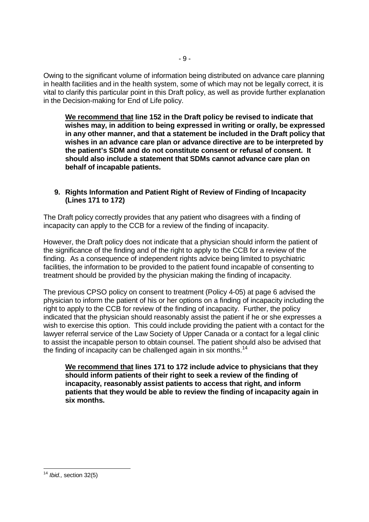Owing to the significant volume of information being distributed on advance care planning in health facilities and in the health system, some of which may not be legally correct, it is vital to clarify this particular point in this Draft policy, as well as provide further explanation in the Decision-making for End of Life policy.

**We recommend that line 152 in the Draft policy be revised to indicate that wishes may, in addition to being expressed in writing or orally, be expressed in any other manner, and that a statement be included in the Draft policy that wishes in an advance care plan or advance directive are to be interpreted by the patient's SDM and do not constitute consent or refusal of consent. It should also include a statement that SDMs cannot advance care plan on behalf of incapable patients.** 

### **9. Rights Information and Patient Right of Review of Finding of Incapacity (Lines 171 to 172)**

The Draft policy correctly provides that any patient who disagrees with a finding of incapacity can apply to the CCB for a review of the finding of incapacity.

However, the Draft policy does not indicate that a physician should inform the patient of the significance of the finding and of the right to apply to the CCB for a review of the finding. As a consequence of independent rights advice being limited to psychiatric facilities, the information to be provided to the patient found incapable of consenting to treatment should be provided by the physician making the finding of incapacity.

The previous CPSO policy on consent to treatment (Policy 4-05) at page 6 advised the physician to inform the patient of his or her options on a finding of incapacity including the right to apply to the CCB for review of the finding of incapacity. Further, the policy indicated that the physician should reasonably assist the patient if he or she expresses a wish to exercise this option. This could include providing the patient with a contact for the lawyer referral service of the Law Society of Upper Canada or a contact for a legal clinic to assist the incapable person to obtain counsel. The patient should also be advised that the finding of incapacity can be challenged again in six months.<sup>14</sup>

**We recommend that lines 171 to 172 include advice to physicians that they should inform patients of their right to seek a review of the finding of incapacity, reasonably assist patients to access that right, and inform patients that they would be able to review the finding of incapacity again in six months.** 

<sup>-</sup> $14$  *Ibid.*, section 32(5)